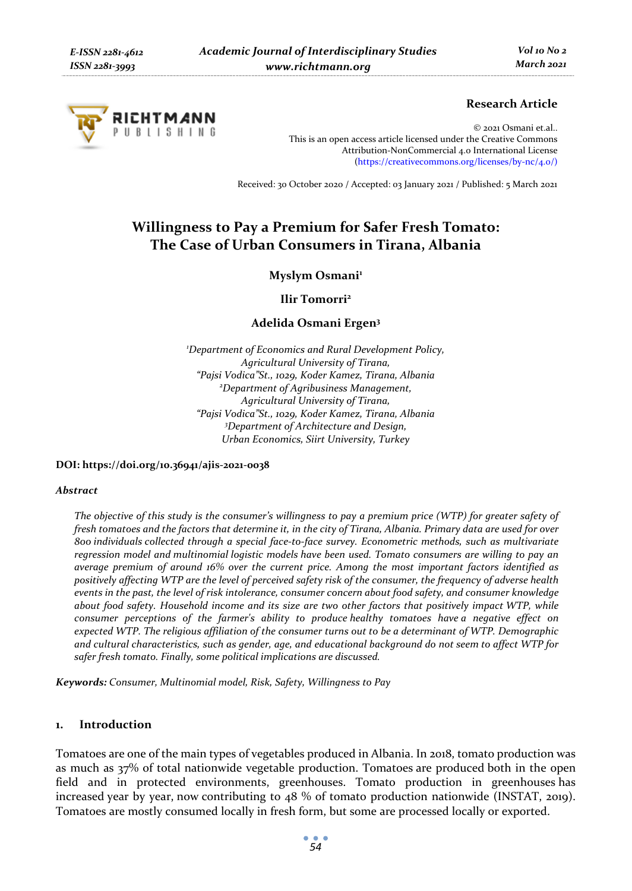

## **Research Article**

© 2021 Osmani et.al.. This is an open access article licensed under the Creative Commons Attribution-NonCommercial 4.0 International License (https://creativecommons.org/licenses/by-nc/4.0/)

Received: 30 October 2020 / Accepted: 03 January 2021 / Published: 5 March 2021

# **Willingness to Pay a Premium for Safer Fresh Tomato: The Case of Urban Consumers in Tirana, Albania**

Myslym Osmani<sup>1</sup>

**Ilir Tomorri2**

**Adelida Osmani Ergen3**

*1 Department of Economics and Rural Development Policy, Agricultural University of Tirana, "Pajsi Vodica"St., 1029, Koder Kamez, Tirana, Albania 2 Department of Agribusiness Management, Agricultural University of Tirana, "Pajsi Vodica"St., 1029, Koder Kamez, Tirana, Albania 3 Department of Architecture and Design, Urban Economics, Siirt University, Turkey* 

**DOI: https://doi.org/10.36941/ajis-2021-0038** 

#### *Abstract*

*The objective of this study is the consumer's willingness to pay a premium price (WTP) for greater safety of fresh tomatoes and the factors that determine it, in the city of Tirana, Albania. Primary data are used for over 800 individuals collected through a special face-to-face survey. Econometric methods, such as multivariate regression model and multinomial logistic models have been used. Tomato consumers are willing to pay an average premium of around 16% over the current price. Among the most important factors identified as positively affecting WTP are the level of perceived safety risk of the consumer, the frequency of adverse health events in the past, the level of risk intolerance, consumer concern about food safety, and consumer knowledge about food safety. Household income and its size are two other factors that positively impact WTP, while consumer perceptions of the farmer's ability to produce healthy tomatoes have a negative effect on expected WTP. The religious affiliation of the consumer turns out to be a determinant of WTP. Demographic and cultural characteristics, such as gender, age, and educational background do not seem to affect WTP for safer fresh tomato. Finally, some political implications are discussed.* 

*Keywords: Consumer, Multinomial model, Risk, Safety, Willingness to Pay* 

### **1. Introduction**

Tomatoes are one of the main types of vegetables produced in Albania. In 2018, tomato production was as much as 37% of total nationwide vegetable production. Tomatoes are produced both in the open field and in protected environments, greenhouses. Tomato production in greenhouses has increased year by year, now contributing to 48 % of tomato production nationwide (INSTAT, 2019). Tomatoes are mostly consumed locally in fresh form, but some are processed locally or exported.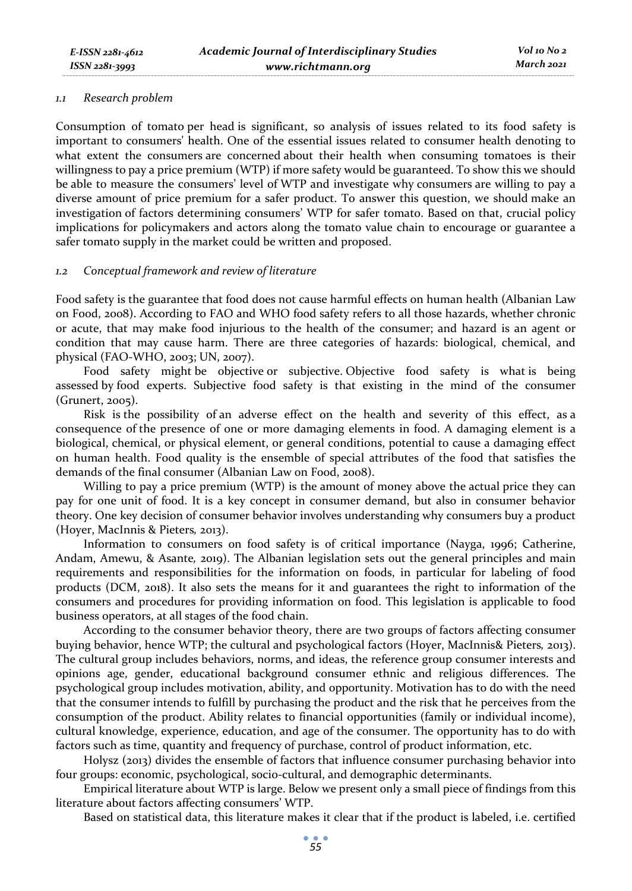#### *1.1 Research problem*

Consumption of tomato per head is significant, so analysis of issues related to its food safety is important to consumers' health. One of the essential issues related to consumer health denoting to what extent the consumers are concerned about their health when consuming tomatoes is their willingness to pay a price premium (WTP) if more safety would be guaranteed. To show this we should be able to measure the consumers' level of WTP and investigate why consumers are willing to pay a diverse amount of price premium for a safer product. To answer this question, we should make an investigation of factors determining consumers' WTP for safer tomato. Based on that, crucial policy implications for policymakers and actors along the tomato value chain to encourage or guarantee a safer tomato supply in the market could be written and proposed.

### *1.2 Conceptual framework and review of literature*

Food safety is the guarantee that food does not cause harmful effects on human health (Albanian Law on Food, 2008). According to FAO and WHO food safety refers to all those hazards, whether chronic or acute, that may make food injurious to the health of the consumer; and hazard is an agent or condition that may cause harm. There are three categories of hazards: biological, chemical, and physical (FAO-WHO, 2003; UN, 2007).

Food safety might be objective or subjective. Objective food safety is what is being assessed by food experts. Subjective food safety is that existing in the mind of the consumer (Grunert, 2005).

Risk is the possibility of an adverse effect on the health and severity of this effect, as a consequence of the presence of one or more damaging elements in food. A damaging element is a biological, chemical, or physical element, or general conditions, potential to cause a damaging effect on human health. Food quality is the ensemble of special attributes of the food that satisfies the demands of the final consumer (Albanian Law on Food, 2008).

Willing to pay a price premium (WTP) is the amount of money above the actual price they can pay for one unit of food. It is a key concept in consumer demand, but also in consumer behavior theory. One key decision of consumer behavior involves understanding why consumers buy a product (Hoyer, MacInnis & Pieters*,* 2013).

Information to consumers on food safety is of critical importance (Nayga, 1996; Catherine, Andam, Amewu, & Asante*,* 2019). The Albanian legislation sets out the general principles and main requirements and responsibilities for the information on foods, in particular for labeling of food products (DCM, 2018). It also sets the means for it and guarantees the right to information of the consumers and procedures for providing information on food. This legislation is applicable to food business operators, at all stages of the food chain.

According to the consumer behavior theory, there are two groups of factors affecting consumer buying behavior, hence WTP; the cultural and psychological factors (Hoyer, MacInnis& Pieters*,* 2013). The cultural group includes behaviors, norms, and ideas, the reference group consumer interests and opinions age, gender, educational background consumer ethnic and religious differences. The psychological group includes motivation, ability, and opportunity. Motivation has to do with the need that the consumer intends to fulfill by purchasing the product and the risk that he perceives from the consumption of the product. Ability relates to financial opportunities (family or individual income), cultural knowledge, experience, education, and age of the consumer. The opportunity has to do with factors such as time, quantity and frequency of purchase, control of product information, etc.

Holysz (2013) divides the ensemble of factors that influence consumer purchasing behavior into four groups: economic, psychological, socio-cultural, and demographic determinants.

Empirical literature about WTP is large. Below we present only a small piece of findings from this literature about factors affecting consumers' WTP.

Based on statistical data, this literature makes it clear that if the product is labeled, i.e. certified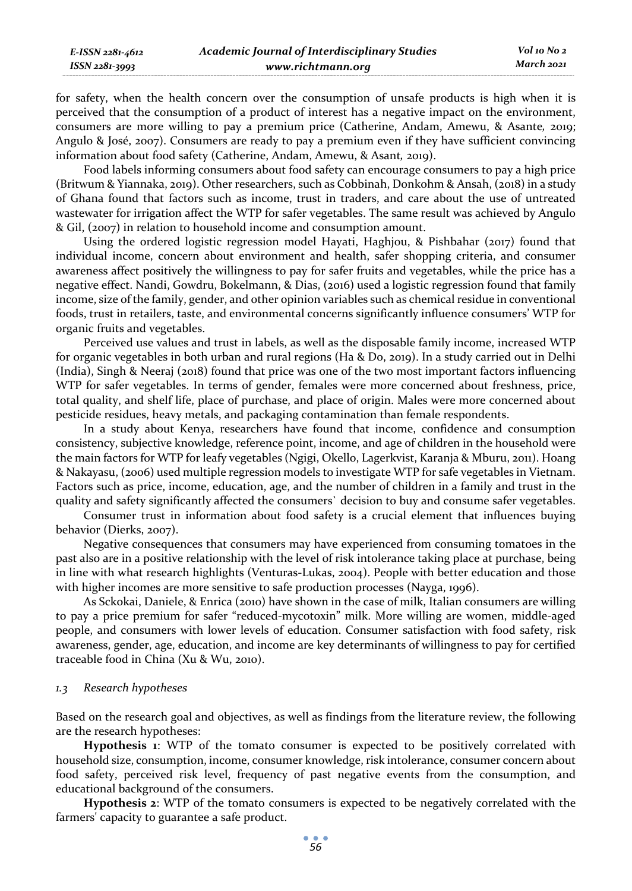for safety, when the health concern over the consumption of unsafe products is high when it is perceived that the consumption of a product of interest has a negative impact on the environment, consumers are more willing to pay a premium price (Catherine, Andam, Amewu, & Asante*,* 2019; Angulo & José, 2007). Consumers are ready to pay a premium even if they have sufficient convincing information about food safety (Catherine, Andam, Amewu, & Asant*,* 2019).

Food labels informing consumers about food safety can encourage consumers to pay a high price (Britwum & Yiannaka, 2019). Other researchers, such as Cobbinah, Donkohm & Ansah, (2018) in a study of Ghana found that factors such as income, trust in traders, and care about the use of untreated wastewater for irrigation affect the WTP for safer vegetables. The same result was achieved by Angulo & Gil, (2007) in relation to household income and consumption amount.

Using the ordered logistic regression model Hayati, Haghjou, & Pishbahar (2017) found that individual income, concern about environment and health, safer shopping criteria, and consumer awareness affect positively the willingness to pay for safer fruits and vegetables, while the price has a negative effect. Nandi, Gowdru, Bokelmann, & Dias, (2016) used a logistic regression found that family income, size of the family, gender, and other opinion variables such as chemical residue in conventional foods, trust in retailers, taste, and environmental concerns significantly influence consumers' WTP for organic fruits and vegetables.

Perceived use values and trust in labels, as well as the disposable family income, increased WTP for organic vegetables in both urban and rural regions (Ha & Do, 2019). In a study carried out in Delhi (India), Singh & Neeraj (2018) found that price was one of the two most important factors influencing WTP for safer vegetables. In terms of gender, females were more concerned about freshness, price, total quality, and shelf life, place of purchase, and place of origin. Males were more concerned about pesticide residues, heavy metals, and packaging contamination than female respondents.

In a study about Kenya, researchers have found that income, confidence and consumption consistency, subjective knowledge, reference point, income, and age of children in the household were the main factors for WTP for leafy vegetables (Ngigi, Okello, Lagerkvist, Karanja & Mburu, 2011). Hoang & Nakayasu, (2006) used multiple regression models to investigate WTP for safe vegetables in Vietnam. Factors such as price, income, education, age, and the number of children in a family and trust in the quality and safety significantly affected the consumers` decision to buy and consume safer vegetables.

Consumer trust in information about food safety is a crucial element that influences buying behavior (Dierks, 2007).

Negative consequences that consumers may have experienced from consuming tomatoes in the past also are in a positive relationship with the level of risk intolerance taking place at purchase, being in line with what research highlights (Venturas-Lukas, 2004). People with better education and those with higher incomes are more sensitive to safe production processes (Nayga, 1996).

As Sckokai, Daniele, & Enrica (2010) have shown in the case of milk, Italian consumers are willing to pay a price premium for safer "reduced-mycotoxin" milk. More willing are women, middle-aged people, and consumers with lower levels of education. Consumer satisfaction with food safety, risk awareness, gender, age, education, and income are key determinants of willingness to pay for certified traceable food in China (Xu & Wu, 2010).

#### *1.3 Research hypotheses*

Based on the research goal and objectives, as well as findings from the literature review, the following are the research hypotheses:

**Hypothesis 1**: WTP of the tomato consumer is expected to be positively correlated with household size, consumption, income, consumer knowledge, risk intolerance, consumer concern about food safety, perceived risk level, frequency of past negative events from the consumption, and educational background of the consumers.

**Hypothesis 2**: WTP of the tomato consumers is expected to be negatively correlated with the farmers' capacity to guarantee a safe product.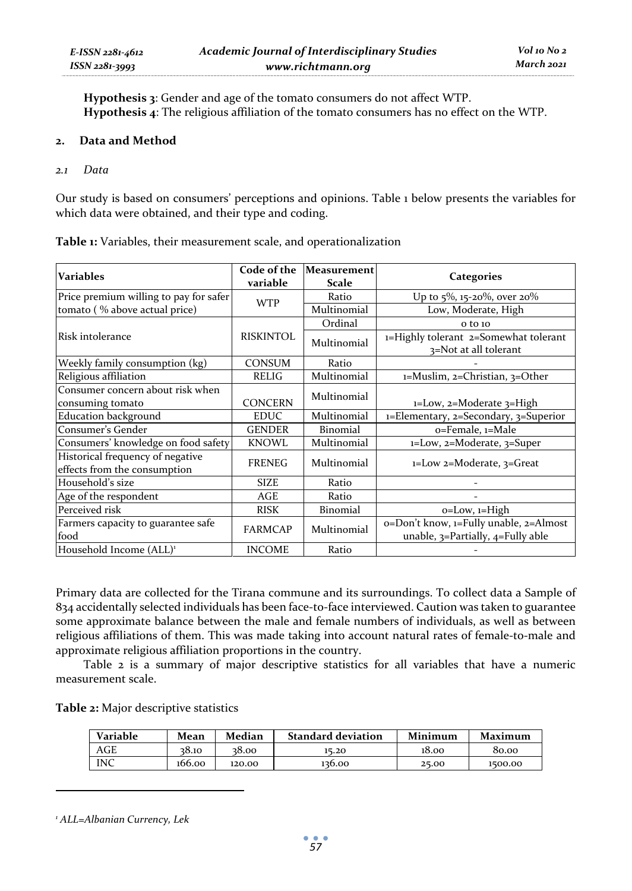**Hypothesis 3**: Gender and age of the tomato consumers do not affect WTP. **Hypothesis 4**: The religious affiliation of the tomato consumers has no effect on the WTP.

### **2. Data and Method**

### *2.1 Data*

Our study is based on consumers' perceptions and opinions. Table 1 below presents the variables for which data were obtained, and their type and coding.

| Variables                                                        | Code of the<br>variable | Measurement<br>Scale | Categories                                                                  |
|------------------------------------------------------------------|-------------------------|----------------------|-----------------------------------------------------------------------------|
| Price premium willing to pay for safer                           | <b>WTP</b>              | Ratio                | Up to $5\%$ , 15-20%, over 20%                                              |
| tomato (% above actual price)                                    |                         | Multinomial          | Low, Moderate, High                                                         |
|                                                                  |                         | Ordinal              | o to 10                                                                     |
| Risk intolerance                                                 | <b>RISKINTOL</b>        | Multinomial          | 1=Highly tolerant 2=Somewhat tolerant<br>3=Not at all tolerant              |
| Weekly family consumption (kg)                                   | <b>CONSUM</b>           | Ratio                |                                                                             |
| Religious affiliation                                            | RELIG                   | Multinomial          | 1=Muslim, 2=Christian, 3=Other                                              |
| Consumer concern about risk when<br>consuming tomato             | <b>CONCERN</b>          | Multinomial          | $1 = Low$ , $2 = Modelrate$ $3 = High$                                      |
| <b>Education background</b>                                      | <b>EDUC</b>             | Multinomial          | 1=Elementary, 2=Secondary, 3=Superior                                       |
| Consumer's Gender                                                | <b>GENDER</b>           | Binomial             | o=Female, 1=Male                                                            |
| Consumers' knowledge on food safety                              | <b>KNOWL</b>            | Multinomial          | 1=Low, 2=Moderate, 3=Super                                                  |
| Historical frequency of negative<br>effects from the consumption | <b>FRENEG</b>           | Multinomial          | 1=Low 2=Moderate, 3=Great                                                   |
| Household's size                                                 | <b>SIZE</b>             | Ratio                |                                                                             |
| Age of the respondent                                            | AGE                     | Ratio                |                                                                             |
| Perceived risk                                                   | <b>RISK</b>             | Binomial             | o=Low, 1=High                                                               |
| Farmers capacity to guarantee safe<br>food                       | <b>FARMCAP</b>          | Multinomial          | o=Don't know, 1=Fully unable, 2=Almost<br>unable, 3=Partially, 4=Fully able |
| Household Income (ALL) <sup>1</sup>                              | <b>INCOME</b>           | Ratio                |                                                                             |

**Table 1:** Variables, their measurement scale, and operationalization

Primary data are collected for the Tirana commune and its surroundings. To collect data a Sample of 834 accidentally selected individuals has been face-to-face interviewed. Caution was taken to guarantee some approximate balance between the male and female numbers of individuals, as well as between religious affiliations of them. This was made taking into account natural rates of female-to-male and approximate religious affiliation proportions in the country.

Table 2 is a summary of major descriptive statistics for all variables that have a numeric measurement scale.

**Table 2:** Major descriptive statistics

| Variable | Mean   | Median | <b>Standard deviation</b> | Minimum | Maximum |
|----------|--------|--------|---------------------------|---------|---------|
| AGE      | 38.10  | 38.00  | 15.20                     | 18.00   | 80.00   |
| INC      | 166.00 | 120.00 | 136.00                    | 25.00   | 1500.00 |

*1 ALL=Albanian Currency, Lek*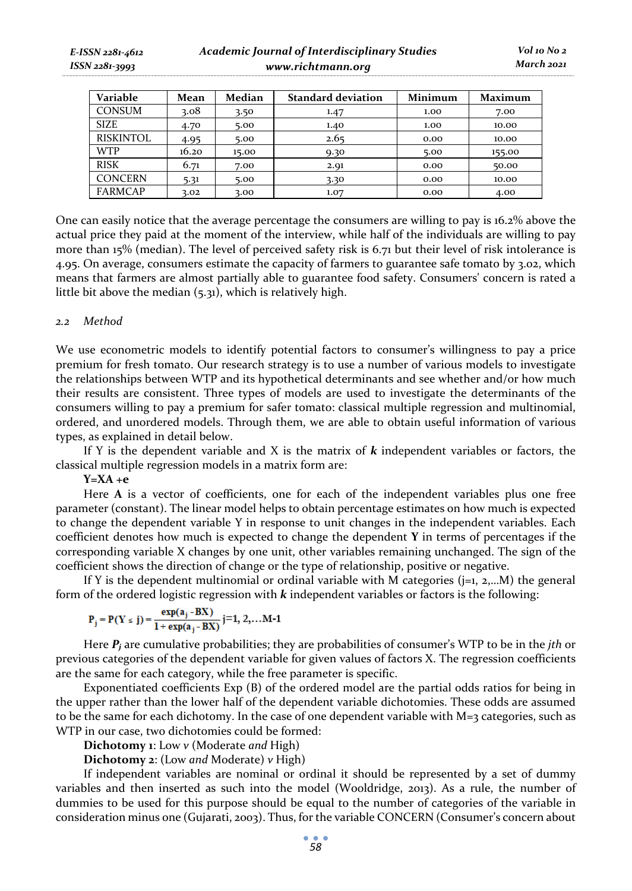| Variable         | Mean  | Median | <b>Standard deviation</b> | <b>Minimum</b> | Maximum |
|------------------|-------|--------|---------------------------|----------------|---------|
| <b>CONSUM</b>    | 3.08  | 3.50   | 1.47                      | 1.00           | 7.00    |
| <b>SIZE</b>      | 4.70  | 5.00   | 1.40                      | 1.00           | 10.00   |
| <b>RISKINTOL</b> | 4.95  | 5.00   | 2.65                      | 0.00           | 10.00   |
| <b>WTP</b>       | 16.20 | 15.00  | 9.30                      | 5.00           | 155.00  |
| <b>RISK</b>      | 6.71  | 7.00   | 2.91                      | 0.00           | 50.00   |
| <b>CONCERN</b>   | 5.31  | 5.00   | 3.30                      | 0.00           | 10.00   |
| <b>FARMCAP</b>   | 3.02  | 3.00   | 1.07                      | 0.00           | 4.00    |

One can easily notice that the average percentage the consumers are willing to pay is 16.2% above the actual price they paid at the moment of the interview, while half of the individuals are willing to pay more than 15% (median). The level of perceived safety risk is 6.71 but their level of risk intolerance is 4.95. On average, consumers estimate the capacity of farmers to guarantee safe tomato by 3.02, which means that farmers are almost partially able to guarantee food safety. Consumers' concern is rated a little bit above the median (5.31), which is relatively high.

### *2.2 Method*

We use econometric models to identify potential factors to consumer's willingness to pay a price premium for fresh tomato. Our research strategy is to use a number of various models to investigate the relationships between WTP and its hypothetical determinants and see whether and/or how much their results are consistent. Three types of models are used to investigate the determinants of the consumers willing to pay a premium for safer tomato: classical multiple regression and multinomial, ordered, and unordered models. Through them, we are able to obtain useful information of various types, as explained in detail below.

If Y is the dependent variable and X is the matrix of *k* independent variables or factors, the classical multiple regression models in a matrix form are:

### **Y=XA +e**

Here **A** is a vector of coefficients, one for each of the independent variables plus one free parameter (constant). The linear model helps to obtain percentage estimates on how much is expected to change the dependent variable Y in response to unit changes in the independent variables. Each coefficient denotes how much is expected to change the dependent **Y** in terms of percentages if the corresponding variable X changes by one unit, other variables remaining unchanged. The sign of the coefficient shows the direction of change or the type of relationship, positive or negative.

If Y is the dependent multinomial or ordinal variable with M categories  $(i=1, 2, \ldots, M)$  the general form of the ordered logistic regression with *k* independent variables or factors is the following:

$$
P_j = P(Y \le j) = \frac{\exp(a_j - BX)}{1 + \exp(a_j - BX)} \quad j=1, 2, ...M-1
$$

Here *Pj* are cumulative probabilities; they are probabilities of consumer's WTP to be in the *jth* or previous categories of the dependent variable for given values of factors X. The regression coefficients are the same for each category, while the free parameter is specific.

Exponentiated coefficients Exp (B) of the ordered model are the partial odds ratios for being in the upper rather than the lower half of the dependent variable dichotomies. These odds are assumed to be the same for each dichotomy. In the case of one dependent variable with  $M=3$  categories, such as WTP in our case, two dichotomies could be formed:

**Dichotomy 1**: Low *v* (Moderate *and* High)

**Dichotomy 2**: (Low *and* Moderate) *v* High)

If independent variables are nominal or ordinal it should be represented by a set of dummy variables and then inserted as such into the model (Wooldridge, 2013). As a rule, the number of dummies to be used for this purpose should be equal to the number of categories of the variable in consideration minus one (Gujarati, 2003). Thus, for the variable CONCERN (Consumer's concern about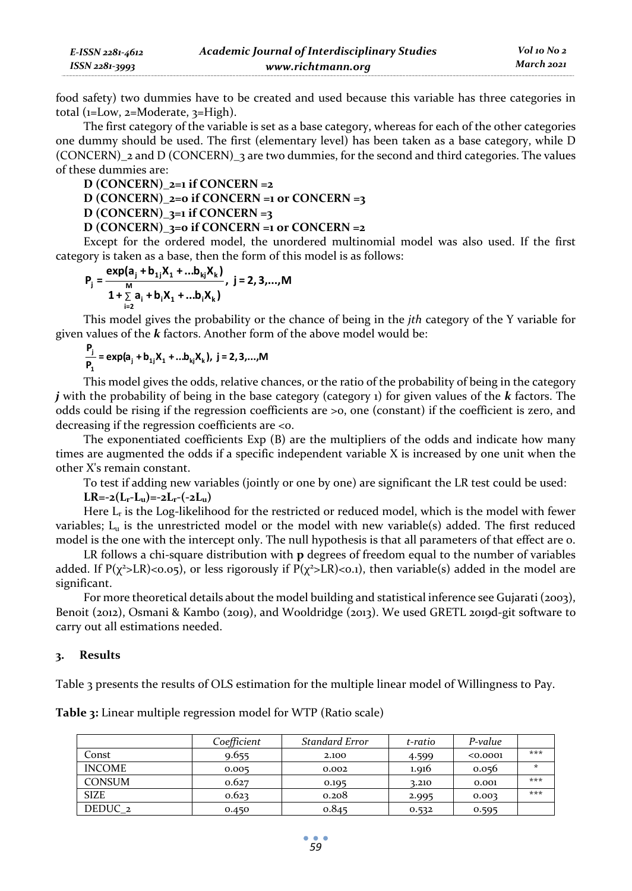| E-ISSN 2281-4612 | <b>Academic Journal of Interdisciplinary Studies</b> |
|------------------|------------------------------------------------------|
| ISSN 2281-3993   | www.richtmann.org                                    |

*Vol 10 No 2 March 2021*

food safety) two dummies have to be created and used because this variable has three categories in total (1=Low, 2=Moderate, 3=High).

The first category of the variable is set as a base category, whereas for each of the other categories one dummy should be used. The first (elementary level) has been taken as a base category, while D (CONCERN)  $_2$  and D (CONCERN)  $_3$  are two dummies, for the second and third categories. The values of these dummies are:

$$
D (CONCERN)_{2=1} if CONCERN = 2
$$

D (CONCERN)<sub>2</sub>=
$$
o
$$
 if CONCERN = $1$  or CONCERN = $3$ 

D (CONCERN)<sub>3</sub>=
$$
\frac{1}{2}
$$
 if CONCERN =3

### **D (CONCERN)\_3=0 if CONCERN =1 or CONCERN =2**

Except for the ordered model, the unordered multinomial model was also used. If the first category is taken as a base, then the form of this model is as follows:

$$
P_{j} = \frac{\exp(a_{j} + b_{1j}X_{1} + \ldots b_{kj}X_{k})}{1 + \sum_{i=2}^{M} a_{i} + b_{i}X_{1} + \ldots + b_{i}X_{k}}, \ j = 2, 3, \ldots, M
$$

This model gives the probability or the chance of being in the *jth* category of the Y variable for given values of the *k* factors. Another form of the above model would be:

$$
\frac{\mathsf{P}_j}{\mathsf{P}_1} = \exp(a_j + b_{1j}X_1 + \dots + b_{kj}X_k), \ j = 2, 3, \dots, M
$$

This model gives the odds, relative chances, or the ratio of the probability of being in the category *j* with the probability of being in the base category (category 1) for given values of the *k* factors. The odds could be rising if the regression coefficients are >0, one (constant) if the coefficient is zero, and decreasing if the regression coefficients are <0.

The exponentiated coefficients Exp (B) are the multipliers of the odds and indicate how many times are augmented the odds if a specific independent variable X is increased by one unit when the other X's remain constant.

To test if adding new variables (jointly or one by one) are significant the LR test could be used:  $LR=-2(L_r-L_u)=-2L_r-(-2L_u)$ 

Here  $L_r$  is the Log-likelihood for the restricted or reduced model, which is the model with fewer variables; Lu is the unrestricted model or the model with new variable(s) added. The first reduced model is the one with the intercept only. The null hypothesis is that all parameters of that effect are 0.

LR follows a chi-square distribution with **p** degrees of freedom equal to the number of variables added. If  $P(\chi^2 > LR) < 0.05$ ), or less rigorously if  $P(\chi^2 > LR) < 0.1$ ), then variable(s) added in the model are significant.

For more theoretical details about the model building and statistical inference see Gujarati (2003), Benoit (2012), Osmani & Kambo (2019), and Wooldridge (2013). We used GRETL 2019d-git software to carry out all estimations needed.

### **3. Results**

Table 3 presents the results of OLS estimation for the multiple linear model of Willingness to Pay.

|                    | Coefficient | <b>Standard Error</b> | t-ratio | P-value  |     |
|--------------------|-------------|-----------------------|---------|----------|-----|
| Const              | 9.655       | 2.100                 | 4.599   | < 0.0001 | *** |
| <b>INCOME</b>      | 0.005       | 0.002                 | 1.916   | 0.056    | ÷   |
| <b>CONSUM</b>      | 0.627       | 0.195                 | 3.210   | 0.001    | *** |
| <b>SIZE</b>        | 0.623       | 0.208                 | 2.995   | 0.003    | *** |
| DEDUC <sub>2</sub> | 0.450       | 0.845                 | 0.532   | 0.595    |     |

**Table 3:** Linear multiple regression model for WTP (Ratio scale)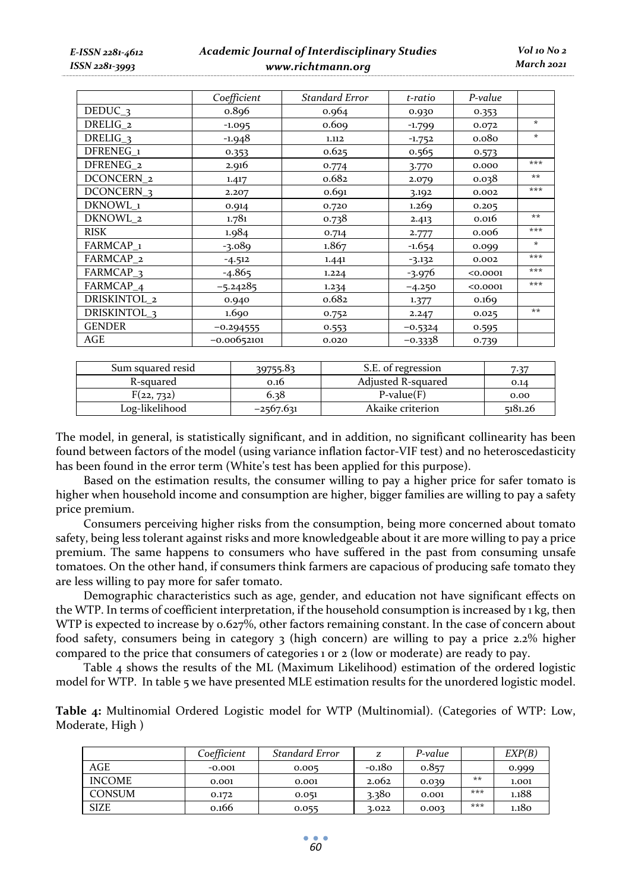*E-ISSN 2281-4612 ISSN 2281-3993* 

# *Academic Journal of Interdisciplinary Studies www.richtmann.org*

|                         | Coefficient   | Standard Error | t-ratio   | P-value           |         |
|-------------------------|---------------|----------------|-----------|-------------------|---------|
| $DEDUC_{-3}$            | 0.896         | 0.964          | 0.930     | 0.353             |         |
| DRELIG_2                | $-1.095$      | 0.609          | $-1.799$  | 0.072             | $\star$ |
| DRELIG <sub>3</sub>     | -1.948        | 1.112          | $-1.752$  | 0.08 <sub>0</sub> | $\star$ |
| DFRENEG <sub>1</sub>    | 0.353         | 0.625          | 0.565     | 0.573             |         |
| DFRENEG <sub>2</sub>    | 2.916         | 0.774          | 3.770     | 0.000             | ***     |
| DCONCERN <sub>2</sub>   | 1.417         | 0.682          | 2.079     | 0.038             | $**$    |
| DCONCERN <sub>3</sub>   | 2.207         | 0.691          | 3.192     | 0.002             | ***     |
| DKNOWL_1                | 0.914         | 0.720          | 1.269     | 0.205             |         |
| DKNOWL 2                | 1.781         | 0.738          | 2.413     | 0.016             | $**$    |
| <b>RISK</b>             | 1.984         | 0.714          | 2.777     | 0.006             | ***     |
| FARMCAP <sub>1</sub>    | $-3.089$      | 1.867          | $-1.654$  | 0.099             | $\star$ |
| FARMCAP <sub>2</sub>    | $-4.512$      | 1.441          | $-3.132$  | 0.002             | ***     |
| FARMCAP <sub>3</sub>    | $-4.865$      | 1.224          | $-3.976$  | < 0.0001          | ***     |
| FARMCAP_4               | $-5.24285$    | 1.234          | $-4.250$  | < 0.0001          | ***     |
| DRISKINTOL_2            | 0.940         | 0.682          | 1.377     | 0.169             |         |
| DRISKINTOL <sub>3</sub> | 1.690         | 0.752          | 2.247     | 0.025             | $**$    |
| <b>GENDER</b>           | $-0.294555$   | 0.553          | $-0.5324$ | 0.595             |         |
| AGE                     | $-0.00652101$ | 0.020          | $-0.3338$ | 0.739             |         |

| Sum squared resid | 20755.83    | S.E. of regression |         |
|-------------------|-------------|--------------------|---------|
| R-squared         | 0.16        | Adiusted R-squared | 0.14    |
| F(22, 732)        | 6.38        | $P-value(F)$       | 0.00    |
| Log-likelihood    | $-2567.631$ | Akaike criterion   | 5181.26 |

The model, in general, is statistically significant, and in addition, no significant collinearity has been found between factors of the model (using variance inflation factor-VIF test) and no heteroscedasticity has been found in the error term (White's test has been applied for this purpose).

Based on the estimation results, the consumer willing to pay a higher price for safer tomato is higher when household income and consumption are higher, bigger families are willing to pay a safety price premium.

Consumers perceiving higher risks from the consumption, being more concerned about tomato safety, being less tolerant against risks and more knowledgeable about it are more willing to pay a price premium. The same happens to consumers who have suffered in the past from consuming unsafe tomatoes. On the other hand, if consumers think farmers are capacious of producing safe tomato they are less willing to pay more for safer tomato.

Demographic characteristics such as age, gender, and education not have significant effects on the WTP. In terms of coefficient interpretation, if the household consumption is increased by 1 kg, then WTP is expected to increase by 0.627%, other factors remaining constant. In the case of concern about food safety, consumers being in category 3 (high concern) are willing to pay a price 2.2% higher compared to the price that consumers of categories 1 or  $\alpha$  (low or moderate) are ready to pay.

Table 4 shows the results of the ML (Maximum Likelihood) estimation of the ordered logistic model for WTP. In table 5 we have presented MLE estimation results for the unordered logistic model.

**Table 4:** Multinomial Ordered Logistic model for WTP (Multinomial). (Categories of WTP: Low, Moderate, High )

|               | Coefficient | Standard Error | z        | P-value |       | EXP(B) |
|---------------|-------------|----------------|----------|---------|-------|--------|
| AGE           | $-0.001$    | 0.005          | $-0.180$ | 0.857   |       | 0.999  |
| <b>INCOME</b> | 0.001       | 0.001          | 2.062    | 0.039   | $***$ | 1.001  |
| <b>CONSUM</b> | 0.172       | 0.051          | 3.380    | 0.001   | ***   | 1.188  |
| <b>SIZE</b>   | 0.166       | 0.055          | 3.022    | 0.003   | ***   | 1.180  |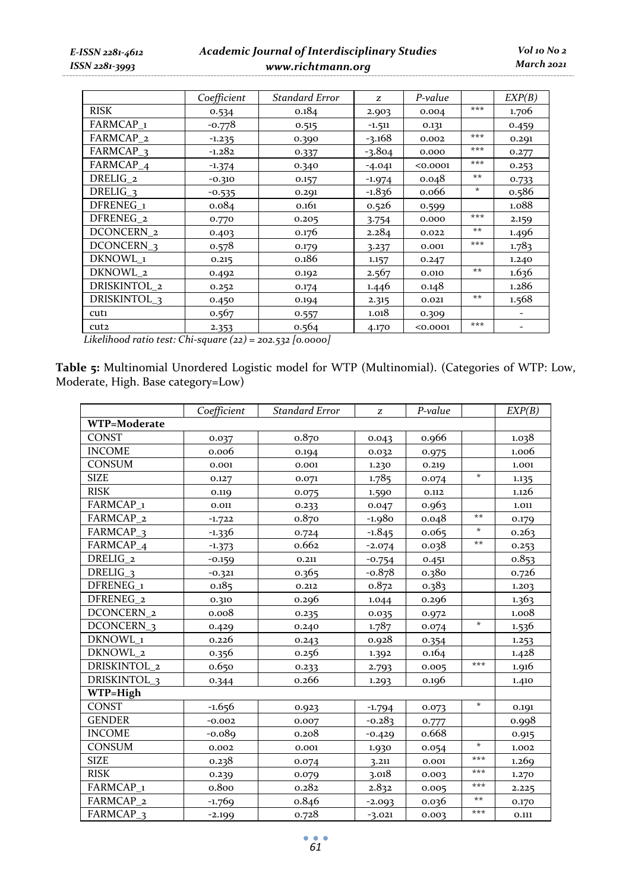*E-ISSN 2281-4612 ISSN 2281-3993* 

# *Academic Journal of Interdisciplinary Studies www.richtmann.org*

|                         | Coefficient | <b>Standard Error</b> | Z        | P-value  |       | EXP(B) |
|-------------------------|-------------|-----------------------|----------|----------|-------|--------|
| <b>RISK</b>             | 0.534       | 0.184                 | 2.903    | 0.004    | ***   | 1.706  |
| FARMCAP <sub>1</sub>    | $-0.778$    | 0.515                 | $-1.511$ | 0.131    |       | 0.459  |
| FARMCAP <sub>2</sub>    | $-1.235$    | 0.390                 | $-3.168$ | 0.002    | ***   | 0.291  |
| FARMCAP <sub>3</sub>    | $-1.282$    | 0.337                 | $-3.804$ | 0.000    | ***   | 0.277  |
| FARMCAP <sub>4</sub>    | $-1.374$    | 0.340                 | $-4.041$ | < 0.0001 | ***   | 0.253  |
| DRELIG <sub>2</sub>     | $-0.310$    | 0.157                 | $-1.974$ | 0.048    | $**$  | 0.733  |
| DRELIG <sub>3</sub>     | $-0.535$    | 0.291                 | $-1.836$ | 0.066    | *     | 0.586  |
| DFRENEG <sub>1</sub>    | 0.084       | 0.161                 | 0.526    | 0.599    |       | 1.088  |
| DFRENEG <sub>2</sub>    | 0.770       | 0.205                 | 3.754    | 0.000    | ***   | 2.159  |
| DCONCERN <sub>2</sub>   | 0.403       | 0.176                 | 2.284    | 0.022    | $***$ | 1.496  |
| DCONCERN <sub>3</sub>   | 0.578       | 0.179                 | 3.237    | 0.001    | ***   | 1.783  |
| DKNOWL 1                | 0.215       | 0.186                 | 1.157    | 0.247    |       | 1.240  |
| DKNOWL 2                | 0.492       | 0.192                 | 2.567    | 0.010    | **    | 1.636  |
| DRISKINTOL_2            | 0.252       | 0.174                 | 1.446    | 0.148    |       | 1.286  |
| DRISKINTOL <sub>3</sub> | 0.450       | 0.194                 | 2.315    | 0.021    | $***$ | 1.568  |
| cut1                    | 0.567       | 0.557                 | 1.018    | 0.309    |       |        |
| cut2                    | 2.353       | 0.564                 | 4.170    | < 0.0001 | ***   |        |

*Likelihood ratio test: Chi-square (22) = 202.532 [0.0000]* 

**Table 5:** Multinomial Unordered Logistic model for WTP (Multinomial). (Categories of WTP: Low, Moderate, High. Base category=Low)

|                         | Coefficient | <b>Standard Error</b> | z        | P-value |         | EXP(B) |
|-------------------------|-------------|-----------------------|----------|---------|---------|--------|
| WTP=Moderate            |             |                       |          |         |         |        |
| <b>CONST</b>            | 0.037       | 0.870                 | 0.043    | 0.966   |         | 1.038  |
| <b>INCOME</b>           | 0.006       | 0.194                 | 0.032    | 0.975   |         | 1.006  |
| CONSUM                  | 0.001       | 0.001                 | 1.230    | 0.219   |         | 1.001  |
| <b>SIZE</b>             | 0.127       | 0.071                 | 1.785    | 0.074   | $\star$ | 1.135  |
| <b>RISK</b>             | 0.119       | 0.075                 | 1.590    | 0.112   |         | 1.126  |
| FARMCAP <sub>1</sub>    | 0.011       | 0.233                 | 0.047    | 0.963   |         | 1.011  |
| FARMCAP_2               | $-1.722$    | 0.870                 | $-1.980$ | 0.048   | $**$    | 0.179  |
| FARMCAP <sub>3</sub>    | $-1.336$    | 0.724                 | $-1.845$ | 0.065   | $\star$ | 0.263  |
| FARMCAP_4               | $-1.373$    | 0.662                 | $-2.074$ | 0.038   | $***$   | 0.253  |
| DRELIG <sub>2</sub>     | $-0.159$    | 0.211                 | $-0.754$ | 0.451   |         | 0.853  |
| DRELIG <sub>3</sub>     | $-0.321$    | 0.365                 | $-0.878$ | 0.380   |         | 0.726  |
| DFRENEG <sub>1</sub>    | 0.185       | 0.212                 | 0.872    | 0.383   |         | 1.203  |
| DFRENEG <sub>2</sub>    | 0.310       | 0.296                 | 1.044    | 0.296   |         | 1.363  |
| DCONCERN <sub>2</sub>   | 0.008       | 0.235                 | 0.035    | 0.972   |         | 1.008  |
| DCONCERN <sub>_3</sub>  | 0.429       | 0.240                 | 1.787    | 0.074   | $\star$ | 1.536  |
| DKNOWL 1                | 0.226       | 0.243                 | 0.928    | 0.354   |         | 1.253  |
| DKNOWL_2                | 0.356       | 0.256                 | 1.392    | 0.164   |         | 1.428  |
| DRISKINTOL 2            | 0.650       | 0.233                 | 2.793    | 0.005   | ***     | 1.916  |
| DRISKINTOL <sub>3</sub> | 0.344       | 0.266                 | 1.293    | 0.196   |         | 1.410  |
| WTP=High                |             |                       |          |         |         |        |
| <b>CONST</b>            | $-1.656$    | 0.923                 | $-1.794$ | 0.073   | $\star$ | 0.191  |
| <b>GENDER</b>           | $-0.002$    | 0.007                 | $-0.283$ | 0.777   |         | 0.998  |
| <b>INCOME</b>           | $-0.089$    | 0.208                 | $-0.429$ | 0.668   |         | 0.915  |
| <b>CONSUM</b>           | 0.002       | 0.001                 | 1.930    | 0.054   | *       | 1.002  |
| <b>SIZE</b>             | 0.238       | 0.074                 | 3.211    | 0.001   | ***     | 1.269  |
| <b>RISK</b>             | 0.239       | 0.079                 | 3.018    | 0.003   | ***     | 1.270  |
| FARMCAP <sub>1</sub>    | 0.800       | 0.282                 | 2.832    | 0.005   | ***     | 2.225  |
| FARMCAP <sub>2</sub>    | $-1.769$    | 0.846                 | $-2.093$ | 0.036   | $***$   | 0.170  |
| FARMCAP <sub>3</sub>    | $-2.199$    | 0.728                 | $-3.021$ | 0.003   | ***     | 0.111  |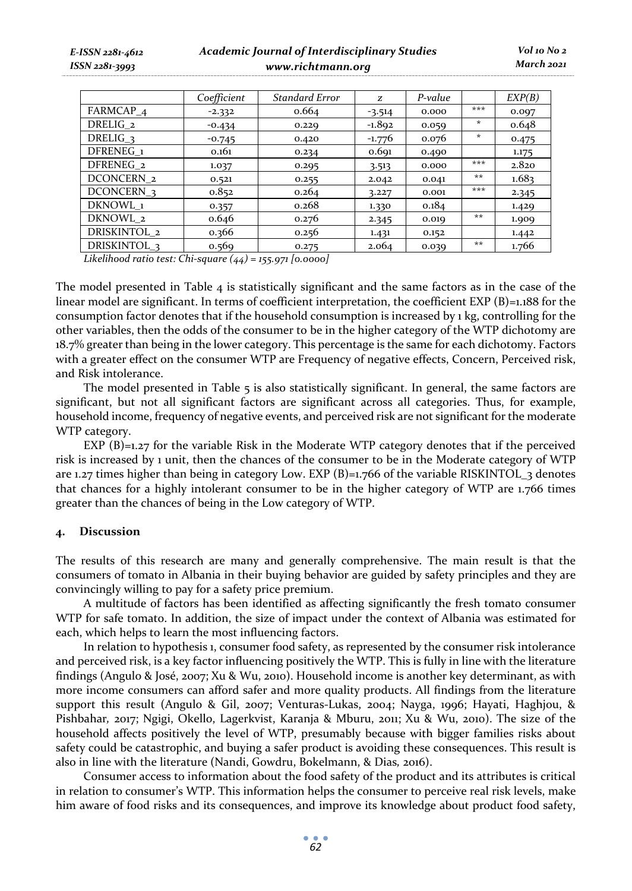| E-ISSN 2281-4612<br>$ISSN 2281 - 3993$ |                       | Academic Journal of Interdisciplinary Studies<br>www.richtmann.org |                       |          |         |         |        |
|----------------------------------------|-----------------------|--------------------------------------------------------------------|-----------------------|----------|---------|---------|--------|
|                                        |                       | Coefficient                                                        | <b>Standard Error</b> | z        | P-value |         | EXP(B) |
|                                        | FARMCAP <sub>4</sub>  | $-2.332$                                                           | 0.664                 | $-3.514$ | 0.000   | ***     | 0.097  |
|                                        | DRELIG <sub>2</sub>   | $-0.434$                                                           | 0.229                 | $-1.892$ | 0.059   | $\star$ | 0.648  |
|                                        | DRELIG <sub>3</sub>   | $-0.745$                                                           | 0.420                 | $-1.776$ | 0.076   | $\star$ | 0.475  |
|                                        | DFRENEG <sub>1</sub>  | 0.161                                                              | 0.234                 | 0.691    | 0.490   |         | 1.175  |
|                                        | DFRENEG <sub>2</sub>  | 1.037                                                              | 0.295                 | 3.513    | 0.000   | ***     | 2.820  |
|                                        | DCONCERN <sub>2</sub> | 0.521                                                              | 0.255                 | 2.042    | 0.041   | $***$   | 1.683  |
|                                        | DCONCERN <sub>3</sub> | 0.852                                                              | 0.264                 | 3.227    | 0.001   | ***     | 2.345  |

DKNOWL\_1 0.357 0.268 1.330 0.184 1.429 DKNOWL\_2 0.646 0.276 2.345 0.019 \*\* 1.909 DRISKINTOL\_2 0.366 0.256 1.431 0.152 1.442 DRISKINTOL<sub>3</sub> 0.569 0.275 2.064 0.039 <sup>\*\*</sup> 1.766

*Vol 10 No 2 March 2021*

*Likelihood ratio test: Chi-square (44) = 155.971 [0.0000]* 

The model presented in Table 4 is statistically significant and the same factors as in the case of the linear model are significant. In terms of coefficient interpretation, the coefficient EXP  $(B)$ =1.188 for the consumption factor denotes that if the household consumption is increased by 1 kg, controlling for the other variables, then the odds of the consumer to be in the higher category of the WTP dichotomy are 18.7% greater than being in the lower category. This percentage is the same for each dichotomy. Factors with a greater effect on the consumer WTP are Frequency of negative effects, Concern, Perceived risk, and Risk intolerance.

The model presented in Table  $\overline{5}$  is also statistically significant. In general, the same factors are significant, but not all significant factors are significant across all categories. Thus, for example, household income, frequency of negative events, and perceived risk are not significant for the moderate WTP category.

EXP (B)=1.27 for the variable Risk in the Moderate WTP category denotes that if the perceived risk is increased by 1 unit, then the chances of the consumer to be in the Moderate category of WTP are 1.27 times higher than being in category Low. EXP (B)=1.766 of the variable RISKINTOL\_3 denotes that chances for a highly intolerant consumer to be in the higher category of WTP are 1.766 times greater than the chances of being in the Low category of WTP.

### **4. Discussion**

The results of this research are many and generally comprehensive. The main result is that the consumers of tomato in Albania in their buying behavior are guided by safety principles and they are convincingly willing to pay for a safety price premium.

A multitude of factors has been identified as affecting significantly the fresh tomato consumer WTP for safe tomato. In addition, the size of impact under the context of Albania was estimated for each, which helps to learn the most influencing factors.

In relation to hypothesis 1, consumer food safety, as represented by the consumer risk intolerance and perceived risk, is a key factor influencing positively the WTP. This is fully in line with the literature findings (Angulo & José, 2007; Xu & Wu, 2010). Household income is another key determinant, as with more income consumers can afford safer and more quality products. All findings from the literature support this result (Angulo & Gil, 2007; Venturas-Lukas, 2004; Nayga, 1996; Hayati, Haghjou, & Pishbahar*,* 2017; Ngigi, Okello, Lagerkvist, Karanja & Mburu, 2011; Xu & Wu, 2010). The size of the household affects positively the level of WTP, presumably because with bigger families risks about safety could be catastrophic, and buying a safer product is avoiding these consequences. This result is also in line with the literature (Nandi, Gowdru, Bokelmann, & Dias*,* 2016).

Consumer access to information about the food safety of the product and its attributes is critical in relation to consumer's WTP. This information helps the consumer to perceive real risk levels, make him aware of food risks and its consequences, and improve its knowledge about product food safety,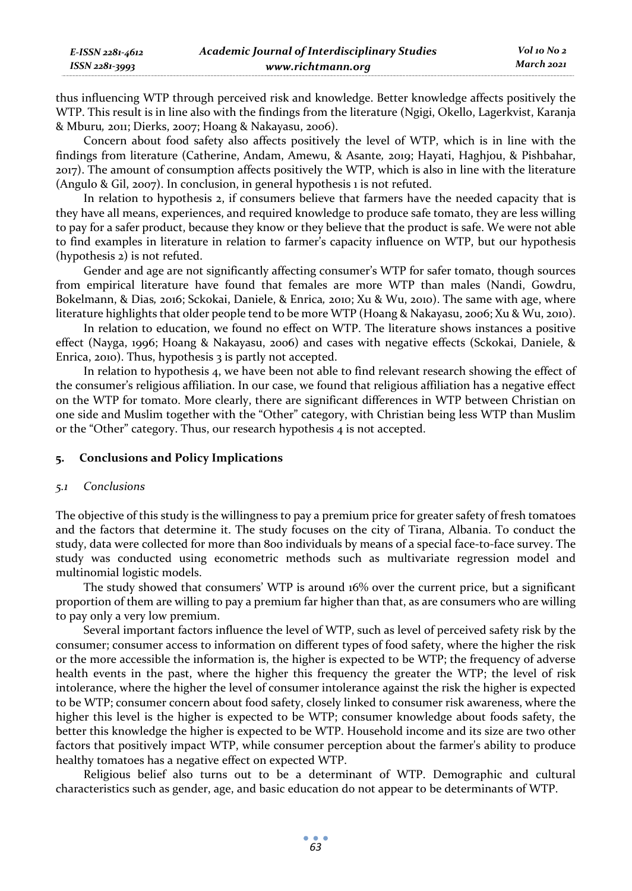| E-ISSN 2281-4612 | <b>Academic Journal of Interdisciplinary Studies</b> | Vol 10 No 2 |
|------------------|------------------------------------------------------|-------------|
| ISSN 2281-3993   | www.richtmann.org                                    | March 2021  |

thus influencing WTP through perceived risk and knowledge. Better knowledge affects positively the WTP. This result is in line also with the findings from the literature (Ngigi, Okello, Lagerkvist, Karanja & Mburu*,* 2011; Dierks, 2007; Hoang & Nakayasu, 2006).

Concern about food safety also affects positively the level of WTP, which is in line with the findings from literature (Catherine, Andam, Amewu, & Asante*,* 2019; Hayati, Haghjou, & Pishbahar, 2017). The amount of consumption affects positively the WTP, which is also in line with the literature (Angulo & Gil, 2007). In conclusion, in general hypothesis 1 is not refuted.

In relation to hypothesis 2, if consumers believe that farmers have the needed capacity that is they have all means, experiences, and required knowledge to produce safe tomato, they are less willing to pay for a safer product, because they know or they believe that the product is safe. We were not able to find examples in literature in relation to farmer's capacity influence on WTP, but our hypothesis (hypothesis 2) is not refuted.

Gender and age are not significantly affecting consumer's WTP for safer tomato, though sources from empirical literature have found that females are more WTP than males (Nandi, Gowdru, Bokelmann, & Dias*,* 2016; Sckokai, Daniele, & Enrica*,* 2010; Xu & Wu, 2010). The same with age, where literature highlights that older people tend to be more WTP (Hoang & Nakayasu, 2006; Xu & Wu, 2010).

In relation to education, we found no effect on WTP. The literature shows instances a positive effect (Nayga, 1996; Hoang & Nakayasu, 2006) and cases with negative effects (Sckokai, Daniele, & Enrica, 2010). Thus, hypothesis 3 is partly not accepted.

In relation to hypothesis 4, we have been not able to find relevant research showing the effect of the consumer's religious affiliation. In our case, we found that religious affiliation has a negative effect on the WTP for tomato. More clearly, there are significant differences in WTP between Christian on one side and Muslim together with the "Other" category, with Christian being less WTP than Muslim or the "Other" category. Thus, our research hypothesis 4 is not accepted.

### **5. Conclusions and Policy Implications**

#### *5.1 Conclusions*

The objective of this study is the willingness to pay a premium price for greater safety of fresh tomatoes and the factors that determine it. The study focuses on the city of Tirana, Albania. To conduct the study, data were collected for more than 800 individuals by means of a special face-to-face survey. The study was conducted using econometric methods such as multivariate regression model and multinomial logistic models.

The study showed that consumers' WTP is around 16% over the current price, but a significant proportion of them are willing to pay a premium far higher than that, as are consumers who are willing to pay only a very low premium.

Several important factors influence the level of WTP, such as level of perceived safety risk by the consumer; consumer access to information on different types of food safety, where the higher the risk or the more accessible the information is, the higher is expected to be WTP; the frequency of adverse health events in the past, where the higher this frequency the greater the WTP; the level of risk intolerance, where the higher the level of consumer intolerance against the risk the higher is expected to be WTP; consumer concern about food safety, closely linked to consumer risk awareness, where the higher this level is the higher is expected to be WTP; consumer knowledge about foods safety, the better this knowledge the higher is expected to be WTP. Household income and its size are two other factors that positively impact WTP, while consumer perception about the farmer's ability to produce healthy tomatoes has a negative effect on expected WTP.

Religious belief also turns out to be a determinant of WTP. Demographic and cultural characteristics such as gender, age, and basic education do not appear to be determinants of WTP.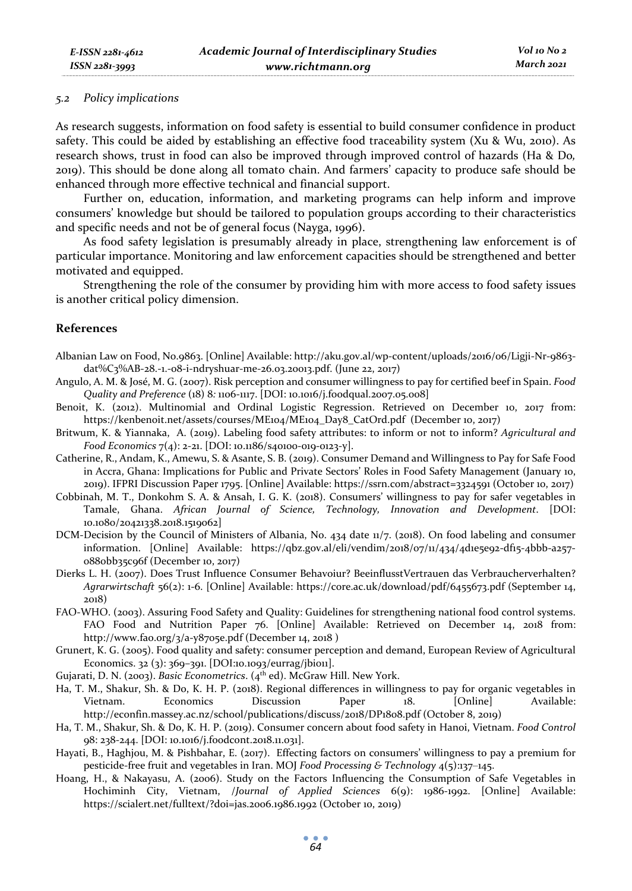### *5.2 Policy implications*

As research suggests, information on food safety is essential to build consumer confidence in product safety. This could be aided by establishing an effective food traceability system (Xu & Wu, 2010). As research shows, trust in food can also be improved through improved control of hazards (Ha & Do*,* 2019). This should be done along all tomato chain. And farmers' capacity to produce safe should be enhanced through more effective technical and financial support.

Further on, education, information, and marketing programs can help inform and improve consumers' knowledge but should be tailored to population groups according to their characteristics and specific needs and not be of general focus (Nayga, 1996).

As food safety legislation is presumably already in place, strengthening law enforcement is of particular importance. Monitoring and law enforcement capacities should be strengthened and better motivated and equipped.

Strengthening the role of the consumer by providing him with more access to food safety issues is another critical policy dimension.

### **References**

- Albanian Law on Food, No.9863. [Online] Available: http://aku.gov.al/wp-content/uploads/2016/06/Ligji-Nr-9863 dat%C3%AB-28.-1.-08-i-ndryshuar-me-26.03.20013.pdf. (June 22, 2017)
- Angulo, A. M. & José, M. G. (2007). Risk perception and consumer willingness to pay for certified beef in Spain. *Food Quality and Preference* (18) 8*:* 1106-1117. [DOI: 10.1016/j.foodqual.2007.05.008]
- Benoit, K. (2012). Multinomial and Ordinal Logistic Regression. Retrieved on December 10, 2017 from: https://kenbenoit.net/assets/courses/ME104/ME104\_Day8\_CatOrd.pdf (December 10, 2017)
- Britwum, K. & Yiannaka, A. (2019). Labeling food safety attributes: to inform or not to inform? *Agricultural and Food Economics* 7(4): 2-21. [DOI: 10.1186/s40100-019-0123-y].
- Catherine, R., Andam, K., Amewu, S. & Asante, S. B. (2019). Consumer Demand and Willingness to Pay for Safe Food in Accra, Ghana: Implications for Public and Private Sectors' Roles in Food Safety Management (January 10, 2019). IFPRI Discussion Paper 1795. [Online] Available: https://ssrn.com/abstract=3324591 (October 10, 2017)
- Cobbinah, M. T., Donkohm S. A. & Ansah, I. G. K. (2018). Consumers' willingness to pay for safer vegetables in Tamale, Ghana. *African Journal of Science, Technology, Innovation and Development*. [DOI: 10.1080/20421338.2018.1519062]
- DCM-Decision by the Council of Ministers of Albania, No. 434 date 11/7. (2018). On food labeling and consumer information. [Online] Available: https://qbz.gov.al/eli/vendim/2018/07/11/434/4d1e5e92-df15-4bbb-a257- 0880bb35c96f (December 10, 2017)
- Dierks L. H. (2007). Does Trust Influence Consumer Behavoiur? BeeinflusstVertrauen das Verbraucherverhalten? *Agrarwirtschaft* 56(2): 1-6. [Online] Available: https://core.ac.uk/download/pdf/6455673.pdf (September 14, 2018)
- FAO-WHO. (2003). Assuring Food Safety and Quality: Guidelines for strengthening national food control systems. FAO Food and Nutrition Paper 76. [Online] Available: Retrieved on December 14, 2018 from: http://www.fao.org/3/a-y8705e.pdf (December 14, 2018 )
- Grunert, K. G. (2005). Food quality and safety: consumer perception and demand, European Review of Agricultural Economics. 32 (3): 369–391. [DOI:10.1093/eurrag/jbi011].
- Gujarati, D. N. (2003). *Basic Econometrics*. (4<sup>th</sup> ed). McGraw Hill. New York.
- Ha, T. M., Shakur, Sh. & Do, K. H. P. (2018). Regional differences in willingness to pay for organic vegetables in Vietnam. Economics Discussion Paper 18. [Online] Available: http://econfin.massey.ac.nz/school/publications/discuss/2018/DP1808.pdf (October 8, 2019)
- Ha, T. M., Shakur, Sh. & Do, K. H. P. (2019). Consumer concern about food safety in Hanoi, Vietnam. *Food Control*  98: 238-244. [DOI: 10.1016/j.foodcont.2018.11.031].
- Hayati, B., Haghjou, M. & Pishbahar, E. (2017). Effecting factors on consumers' willingness to pay a premium for pesticide-free fruit and vegetables in Iran. MOJ *Food Processing & Technology* 4(5):137‒145.
- Hoang, H., & Nakayasu, A. (2006). Study on the Factors Influencing the Consumption of Safe Vegetables in Hochiminh City, Vietnam, /*Journal of Applied Sciences* 6(9): 1986-1992. [Online] Available: https://scialert.net/fulltext/?doi=jas.2006.1986.1992 (October 10, 2019)